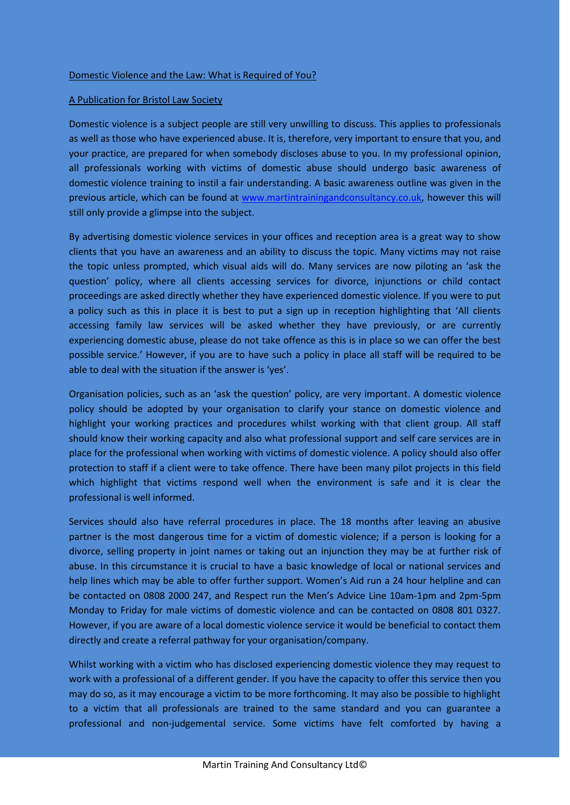## A Publication for Bristol Law Society

Domestic violence is a subject people are still very unwilling to discuss. This applies to professionals as well as those who have experienced abuse. It is, therefore, very important to ensure that you, and your practice, are prepared for when somebody discloses abuse to you. In my professional opinion, all professionals working with victims of domestic abuse should undergo basic awareness of domestic violence training to instil a fair understanding. A basic awareness outline was given in the previous article, which can be found at [www.martintrainingandconsultancy.co.uk,](http://www.martintrainingandconsultancy.co.uk/) however this will still only provide a glimpse into the subject.

By advertising domestic violence services in your offices and reception area is a great way to show clients that you have an awareness and an ability to discuss the topic. Many victims may not raise the topic unless prompted, which visual aids will do. Many services are now piloting an 'ask the question' policy, where all clients accessing services for divorce, injunctions or child contact proceedings are asked directly whether they have experienced domestic violence. If you were to put a policy such as this in place it is best to put a sign up in reception highlighting that 'All clients accessing family law services will be asked whether they have previously, or are currently experiencing domestic abuse, please do not take offence as this is in place so we can offer the best possible service.' However, if you are to have such a policy in place all staff will be required to be able to deal with the situation if the answer is 'yes'.

Organisation policies, such as an 'ask the question' policy, are very important. A domestic violence policy should be adopted by your organisation to clarify your stance on domestic violence and highlight your working practices and procedures whilst working with that client group. All staff should know their working capacity and also what professional support and self care services are in place for the professional when working with victims of domestic violence. A policy should also offer protection to staff if a client were to take offence. There have been many pilot projects in this field which highlight that victims respond well when the environment is safe and it is clear the professional is well informed.

Services should also have referral procedures in place. The 18 months after leaving an abusive partner is the most dangerous time for a victim of domestic violence; if a person is looking for a divorce, selling property in joint names or taking out an injunction they may be at further risk of abuse. In this circumstance it is crucial to have a basic knowledge of local or national services and help lines which may be able to offer further support. Women's Aid run a 24 hour helpline and can be contacted on 0808 2000 247, and Respect run the Men's Advice Line 10am-1pm and 2pm-5pm Monday to Friday for male victims of domestic violence and can be contacted on 0808 801 0327. However, if you are aware of a local domestic violence service it would be beneficial to contact them directly and create a referral pathway for your organisation/company.

Whilst working with a victim who has disclosed experiencing domestic violence they may request to work with a professional of a different gender. If you have the capacity to offer this service then you may do so, as it may encourage a victim to be more forthcoming. It may also be possible to highlight to a victim that all professionals are trained to the same standard and you can guarantee a professional and non-judgemental service. Some victims have felt comforted by having a